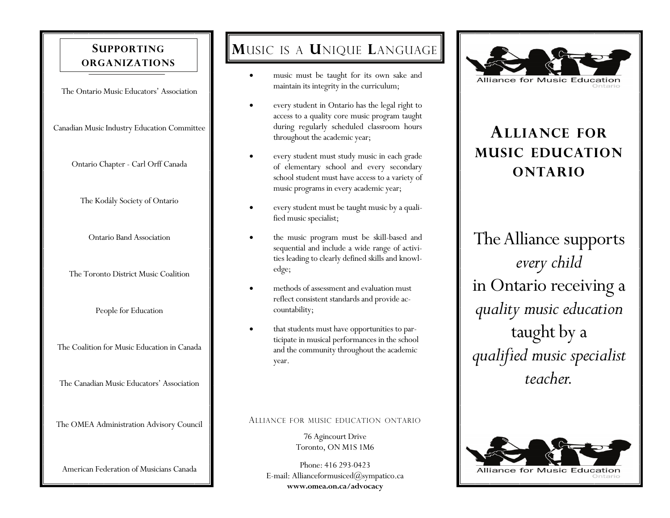### **SUPPORTINGORGANIZATIONS**

The Ontario Music Educators' Association

Canadian Music Industry Education Committee

Ontario Chapter - Carl Orff Canada

The Kodály Society of Ontario

Ontario Band Association

The Toronto District Music Coalition

People for Education

The Coalition for Music Education in Canada

The Canadian Music Educators' Association

The OMEA Administration Advisory Council

American Federation of Musicians Canada

# **M**USIC IS A **U**NIQUE **L**ANGUAGE

- music must be taught for its own sake and maintain its integrity in the curriculum;
- every student in Ontario has the legal right to access to a quality core music program taught during regularly scheduled classroom hours throughout the academic year;
- every student must study music in each grade of elementary school and every secondary school student must have access to a variety of music programs in every academic year;
- every student must be taught music by a qualified music specialist;
- the music program must be skill-based and sequential and include a wide range of activities leading to clearly defined skills and knowledge;
- methods of assessment and evaluation must reflect consistent standards and provide accountability;
- that students must have opportunities to participate in musical performances in the school and the community throughout the academic year.

#### ALLIANCE FOR MUSIC EDUCATION ONTARIO

76 Agincourt Drive Toronto, ON M1S 1M6

Phone: 416 293-0423 E-mail: Allianceformusiced $(\partial)$ sympatico.ca **www.omea.on.ca/advocacy**



# **ALLIANCE FORMUSIC EDUCATIONONTARIO**

The Alliance supports *every child*  in Ontario receiving a *quality music education* taught by a *qualified music specialist teacher.*